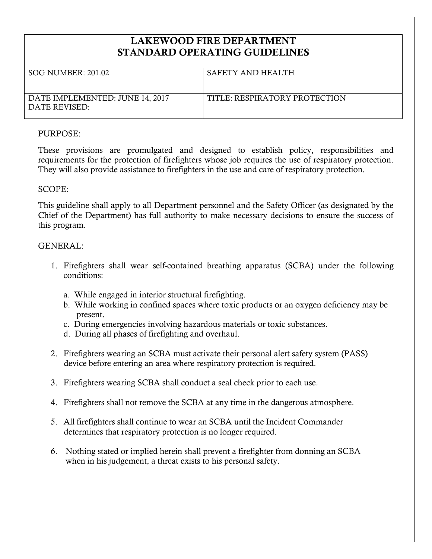# **LAKEWOOD FIRE DEPARTMENT STANDARD OPERATING GUIDELINES**

| SOG NUMBER: 201.02                               | SAFETY AND HEALTH             |
|--------------------------------------------------|-------------------------------|
| DATE IMPLEMENTED: JUNE 14, 2017<br>DATE REVISED: | TITLE: RESPIRATORY PROTECTION |

#### PURPOSE:

These provisions are promulgated and designed to establish policy, responsibilities and requirements for the protection of firefighters whose job requires the use of respiratory protection. They will also provide assistance to firefighters in the use and care of respiratory protection.

## SCOPE:

This guideline shall apply to all Department personnel and the Safety Officer (as designated by the Chief of the Department) has full authority to make necessary decisions to ensure the success of this program.

## GENERAL:

- 1. Firefighters shall wear self-contained breathing apparatus (SCBA) under the following conditions:
	- a. While engaged in interior structural firefighting.
	- b. While working in confined spaces where toxic products or an oxygen deficiency may be present.
	- c. During emergencies involving hazardous materials or toxic substances.
	- d. During all phases of firefighting and overhaul.
- 2. Firefighters wearing an SCBA must activate their personal alert safety system (PASS) device before entering an area where respiratory protection is required.
- 3. Firefighters wearing SCBA shall conduct a seal check prior to each use.
- 4. Firefighters shall not remove the SCBA at any time in the dangerous atmosphere.
- 5. All firefighters shall continue to wear an SCBA until the Incident Commander determines that respiratory protection is no longer required.
- 6. Nothing stated or implied herein shall prevent a firefighter from donning an SCBA when in his judgement, a threat exists to his personal safety.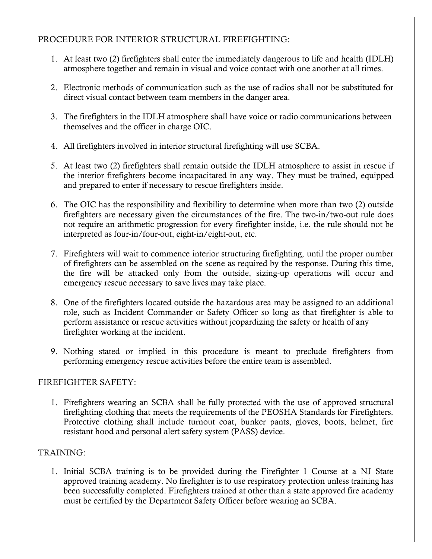# PROCEDURE FOR INTERIOR STRUCTURAL FIREFIGHTING:

- 1. At least two (2) firefighters shall enter the immediately dangerous to life and health (IDLH) atmosphere together and remain in visual and voice contact with one another at all times.
- 2. Electronic methods of communication such as the use of radios shall not be substituted for direct visual contact between team members in the danger area.
- 3. The firefighters in the IDLH atmosphere shall have voice or radio communications between themselves and the officer in charge OIC.
- 4. All firefighters involved in interior structural firefighting will use SCBA.
- 5. At least two (2) firefighters shall remain outside the IDLH atmosphere to assist in rescue if the interior firefighters become incapacitated in any way. They must be trained, equipped and prepared to enter if necessary to rescue firefighters inside.
- 6. The OIC has the responsibility and flexibility to determine when more than two (2) outside firefighters are necessary given the circumstances of the fire. The two-in/two-out rule does not require an arithmetic progression for every firefighter inside, i.e. the rule should not be interpreted as four-in/four-out, eight-in/eight-out, etc.
- 7. Firefighters will wait to commence interior structuring firefighting, until the proper number of firefighters can be assembled on the scene as required by the response. During this time, the fire will be attacked only from the outside, sizing-up operations will occur and emergency rescue necessary to save lives may take place.
- 8. One of the firefighters located outside the hazardous area may be assigned to an additional role, such as Incident Commander or Safety Officer so long as that firefighter is able to perform assistance or rescue activities without jeopardizing the safety or health of any firefighter working at the incident.
- 9. Nothing stated or implied in this procedure is meant to preclude firefighters from performing emergency rescue activities before the entire team is assembled.

#### FIREFIGHTER SAFETY:

1. Firefighters wearing an SCBA shall be fully protected with the use of approved structural firefighting clothing that meets the requirements of the PEOSHA Standards for Firefighters. Protective clothing shall include turnout coat, bunker pants, gloves, boots, helmet, fire resistant hood and personal alert safety system (PASS) device.

# TRAINING:

1. Initial SCBA training is to be provided during the Firefighter 1 Course at a NJ State approved training academy. No firefighter is to use respiratory protection unless training has been successfully completed. Firefighters trained at other than a state approved fire academy must be certified by the Department Safety Officer before wearing an SCBA.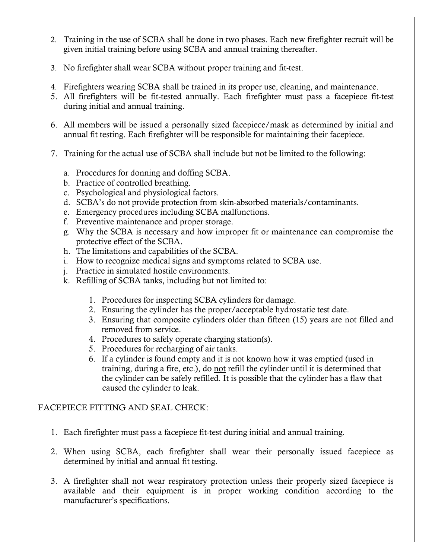- 2. Training in the use of SCBA shall be done in two phases. Each new firefighter recruit will be given initial training before using SCBA and annual training thereafter.
- 3. No firefighter shall wear SCBA without proper training and fit-test.
- 4. Firefighters wearing SCBA shall be trained in its proper use, cleaning, and maintenance.
- 5. All firefighters will be fit-tested annually. Each firefighter must pass a facepiece fit-test during initial and annual training.
- 6. All members will be issued a personally sized facepiece/mask as determined by initial and annual fit testing. Each firefighter will be responsible for maintaining their facepiece.
- 7. Training for the actual use of SCBA shall include but not be limited to the following:
	- a. Procedures for donning and doffing SCBA.
	- b. Practice of controlled breathing.
	- c. Psychological and physiological factors.
	- d. SCBA's do not provide protection from skin-absorbed materials/contaminants.
	- e. Emergency procedures including SCBA malfunctions.
	- f. Preventive maintenance and proper storage.
	- g. Why the SCBA is necessary and how improper fit or maintenance can compromise the protective effect of the SCBA.
	- h. The limitations and capabilities of the SCBA.
	- i. How to recognize medical signs and symptoms related to SCBA use.
	- j. Practice in simulated hostile environments.
	- k. Refilling of SCBA tanks, including but not limited to:
		- 1. Procedures for inspecting SCBA cylinders for damage.
		- 2. Ensuring the cylinder has the proper/acceptable hydrostatic test date.
		- 3. Ensuring that composite cylinders older than fifteen (15) years are not filled and removed from service.
		- 4. Procedures to safely operate charging station(s).
		- 5. Procedures for recharging of air tanks.
		- 6. If a cylinder is found empty and it is not known how it was emptied (used in training, during a fire, etc.), do not refill the cylinder until it is determined that the cylinder can be safely refilled. It is possible that the cylinder has a flaw that caused the cylinder to leak.

# FACEPIECE FITTING AND SEAL CHECK:

- 1. Each firefighter must pass a facepiece fit-test during initial and annual training.
- 2. When using SCBA, each firefighter shall wear their personally issued facepiece as determined by initial and annual fit testing.
- 3. A firefighter shall not wear respiratory protection unless their properly sized facepiece is available and their equipment is in proper working condition according to the manufacturer's specifications.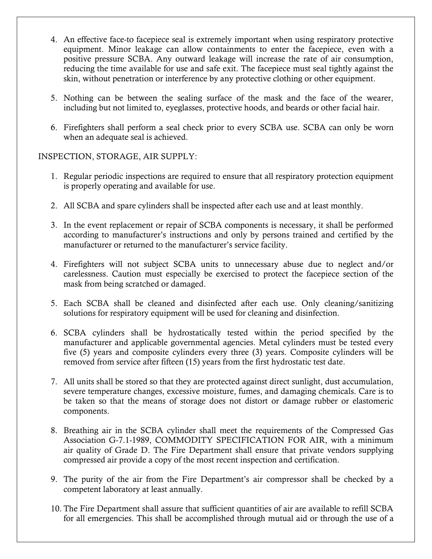- 4. An effective face-to facepiece seal is extremely important when using respiratory protective equipment. Minor leakage can allow containments to enter the facepiece, even with a positive pressure SCBA. Any outward leakage will increase the rate of air consumption, reducing the time available for use and safe exit. The facepiece must seal tightly against the skin, without penetration or interference by any protective clothing or other equipment.
- 5. Nothing can be between the sealing surface of the mask and the face of the wearer, including but not limited to, eyeglasses, protective hoods, and beards or other facial hair.
- 6. Firefighters shall perform a seal check prior to every SCBA use. SCBA can only be worn when an adequate seal is achieved.

INSPECTION, STORAGE, AIR SUPPLY:

- 1. Regular periodic inspections are required to ensure that all respiratory protection equipment is properly operating and available for use.
- 2. All SCBA and spare cylinders shall be inspected after each use and at least monthly.
- 3. In the event replacement or repair of SCBA components is necessary, it shall be performed according to manufacturer's instructions and only by persons trained and certified by the manufacturer or returned to the manufacturer's service facility.
- 4. Firefighters will not subject SCBA units to unnecessary abuse due to neglect and/or carelessness. Caution must especially be exercised to protect the facepiece section of the mask from being scratched or damaged.
- 5. Each SCBA shall be cleaned and disinfected after each use. Only cleaning/sanitizing solutions for respiratory equipment will be used for cleaning and disinfection.
- 6. SCBA cylinders shall be hydrostatically tested within the period specified by the manufacturer and applicable governmental agencies. Metal cylinders must be tested every five (5) years and composite cylinders every three (3) years. Composite cylinders will be removed from service after fifteen (15) years from the first hydrostatic test date.
- 7. All units shall be stored so that they are protected against direct sunlight, dust accumulation, severe temperature changes, excessive moisture, fumes, and damaging chemicals. Care is to be taken so that the means of storage does not distort or damage rubber or elastomeric components.
- 8. Breathing air in the SCBA cylinder shall meet the requirements of the Compressed Gas Association G-7.1-1989, COMMODITY SPECIFICATION FOR AIR, with a minimum air quality of Grade D. The Fire Department shall ensure that private vendors supplying compressed air provide a copy of the most recent inspection and certification.
- 9. The purity of the air from the Fire Department's air compressor shall be checked by a competent laboratory at least annually.
- 10. The Fire Department shall assure that sufficient quantities of air are available to refill SCBA for all emergencies. This shall be accomplished through mutual aid or through the use of a